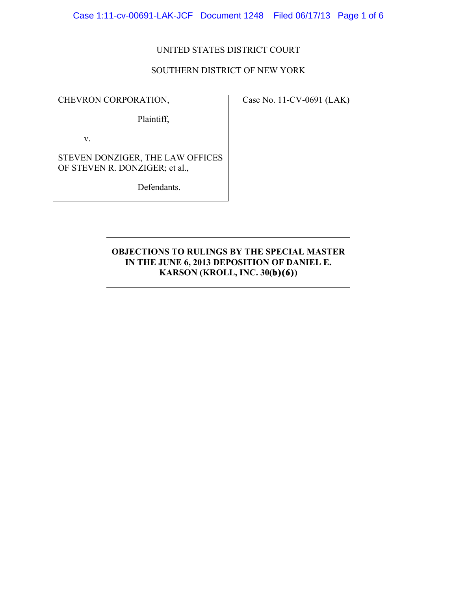Case 1:11-cv-00691-LAK-JCF Document 1248 Filed 06/17/13 Page 1 of 6

## UNITED STATES DISTRICT COURT

### SOUTHERN DISTRICT OF NEW YORK

CHEVRON CORPORATION,

Case No. 11-CV-0691 (LAK)

Plaintiff,

v.

STEVEN DONZIGER, THE LAW OFFICES OF STEVEN R. DONZIGER; et al.,

Defendants.

# **OBJECTIONS TO RULINGS BY THE SPECIAL MASTER IN THE JUNE 6, 2013 DEPOSITION OF DANIEL E. KARSON (KROLL, INC. 30(b)(6))**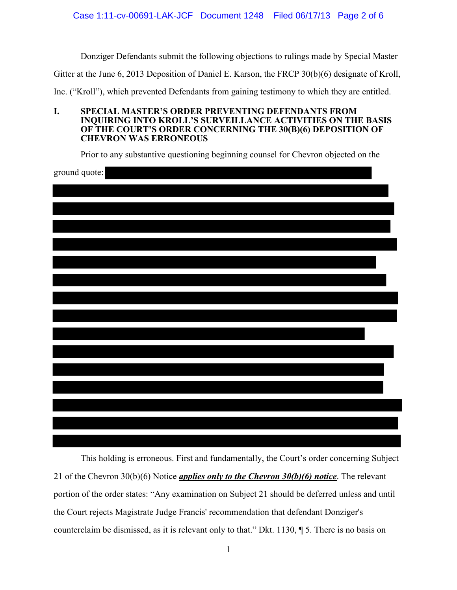Donziger Defendants submit the following objections to rulings made by Special Master

Gitter at the June 6, 2013 Deposition of Daniel E. Karson, the FRCP 30(b)(6) designate of Kroll,

Inc. ("Kroll"), which prevented Defendants from gaining testimony to which they are entitled.

**I. SPECIAL MASTER'S ORDER PREVENTING DEFENDANTS FROM INQUIRING INTO KROLL'S SURVEILLANCE ACTIVITIES ON THE BASIS OF THE COURT'S ORDER CONCERNING THE 30(B)(6) DEPOSITION OF CHEVRON WAS ERRONEOUS** 

Prior to any substantive questioning beginning counsel for Chevron objected on the

ground quote:

This holding is erroneous. First and fundamentally, the Court's order concerning Subject 21 of the Chevron 30(b)(6) Notice *applies only to the Chevron 30(b)(6) notice*. The relevant portion of the order states: "Any examination on Subject 21 should be deferred unless and until the Court rejects Magistrate Judge Francis' recommendation that defendant Donziger's counterclaim be dismissed, as it is relevant only to that." Dkt. 1130, ¶ 5. There is no basis on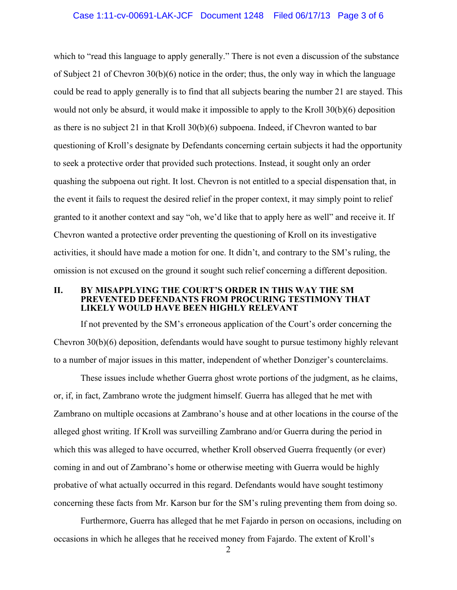# Case 1:11-cv-00691-LAK-JCF Document 1248 Filed 06/17/13 Page 3 of 6

which to "read this language to apply generally." There is not even a discussion of the substance of Subject 21 of Chevron 30(b)(6) notice in the order; thus, the only way in which the language could be read to apply generally is to find that all subjects bearing the number 21 are stayed. This would not only be absurd, it would make it impossible to apply to the Kroll 30(b)(6) deposition as there is no subject 21 in that Kroll  $30(b)(6)$  subpoena. Indeed, if Chevron wanted to bar questioning of Kroll's designate by Defendants concerning certain subjects it had the opportunity to seek a protective order that provided such protections. Instead, it sought only an order quashing the subpoena out right. It lost. Chevron is not entitled to a special dispensation that, in the event it fails to request the desired relief in the proper context, it may simply point to relief granted to it another context and say "oh, we'd like that to apply here as well" and receive it. If Chevron wanted a protective order preventing the questioning of Kroll on its investigative activities, it should have made a motion for one. It didn't, and contrary to the SM's ruling, the omission is not excused on the ground it sought such relief concerning a different deposition.

#### **II. BY MISAPPLYING THE COURT'S ORDER IN THIS WAY THE SM PREVENTED DEFENDANTS FROM PROCURING TESTIMONY THAT LIKELY WOULD HAVE BEEN HIGHLY RELEVANT**

If not prevented by the SM's erroneous application of the Court's order concerning the Chevron 30(b)(6) deposition, defendants would have sought to pursue testimony highly relevant to a number of major issues in this matter, independent of whether Donziger's counterclaims.

These issues include whether Guerra ghost wrote portions of the judgment, as he claims, or, if, in fact, Zambrano wrote the judgment himself. Guerra has alleged that he met with Zambrano on multiple occasions at Zambrano's house and at other locations in the course of the alleged ghost writing. If Kroll was surveilling Zambrano and/or Guerra during the period in which this was alleged to have occurred, whether Kroll observed Guerra frequently (or ever) coming in and out of Zambrano's home or otherwise meeting with Guerra would be highly probative of what actually occurred in this regard. Defendants would have sought testimony concerning these facts from Mr. Karson bur for the SM's ruling preventing them from doing so.

Furthermore, Guerra has alleged that he met Fajardo in person on occasions, including on occasions in which he alleges that he received money from Fajardo. The extent of Kroll's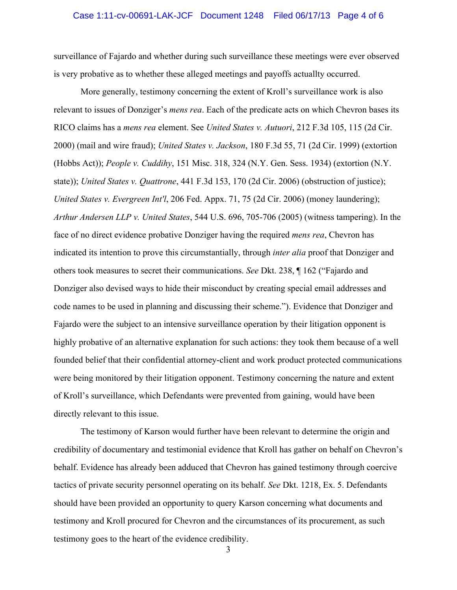# Case 1:11-cv-00691-LAK-JCF Document 1248 Filed 06/17/13 Page 4 of 6

surveillance of Fajardo and whether during such surveillance these meetings were ever observed is very probative as to whether these alleged meetings and payoffs actuallty occurred.

More generally, testimony concerning the extent of Kroll's surveillance work is also relevant to issues of Donziger's *mens rea*. Each of the predicate acts on which Chevron bases its RICO claims has a *mens rea* element. See *United States v. Autuori*, 212 F.3d 105, 115 (2d Cir. 2000) (mail and wire fraud); *United States v. Jackson*, 180 F.3d 55, 71 (2d Cir. 1999) (extortion (Hobbs Act)); *People v. Cuddihy*, 151 Misc. 318, 324 (N.Y. Gen. Sess. 1934) (extortion (N.Y. state)); *United States v. Quattrone*, 441 F.3d 153, 170 (2d Cir. 2006) (obstruction of justice); *United States v. Evergreen Int'l*, 206 Fed. Appx. 71, 75 (2d Cir. 2006) (money laundering); *Arthur Andersen LLP v. United States*, 544 U.S. 696, 705-706 (2005) (witness tampering). In the face of no direct evidence probative Donziger having the required *mens rea*, Chevron has indicated its intention to prove this circumstantially, through *inter alia* proof that Donziger and others took measures to secret their communications. *See* Dkt. 238, ¶ 162 ("Fajardo and Donziger also devised ways to hide their misconduct by creating special email addresses and code names to be used in planning and discussing their scheme."). Evidence that Donziger and Fajardo were the subject to an intensive surveillance operation by their litigation opponent is highly probative of an alternative explanation for such actions: they took them because of a well founded belief that their confidential attorney-client and work product protected communications were being monitored by their litigation opponent. Testimony concerning the nature and extent of Kroll's surveillance, which Defendants were prevented from gaining, would have been directly relevant to this issue.

The testimony of Karson would further have been relevant to determine the origin and credibility of documentary and testimonial evidence that Kroll has gather on behalf on Chevron's behalf. Evidence has already been adduced that Chevron has gained testimony through coercive tactics of private security personnel operating on its behalf. *See* Dkt. 1218, Ex. 5. Defendants should have been provided an opportunity to query Karson concerning what documents and testimony and Kroll procured for Chevron and the circumstances of its procurement, as such testimony goes to the heart of the evidence credibility.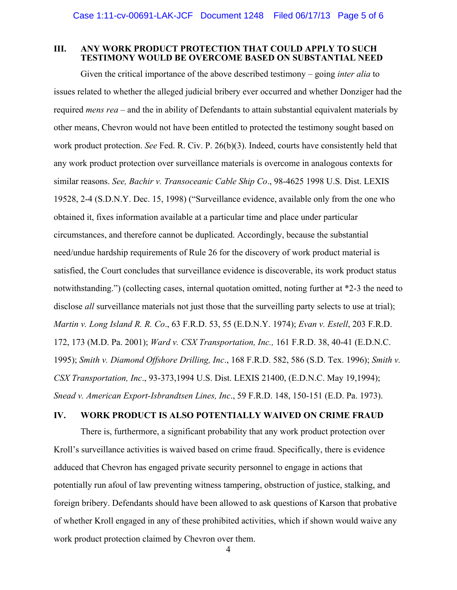#### **III. ANY WORK PRODUCT PROTECTION THAT COULD APPLY TO SUCH TESTIMONY WOULD BE OVERCOME BASED ON SUBSTANTIAL NEED**

Given the critical importance of the above described testimony – going *inter alia* to issues related to whether the alleged judicial bribery ever occurred and whether Donziger had the required *mens rea* – and the in ability of Defendants to attain substantial equivalent materials by other means, Chevron would not have been entitled to protected the testimony sought based on work product protection. *See* Fed. R. Civ. P. 26(b)(3). Indeed, courts have consistently held that any work product protection over surveillance materials is overcome in analogous contexts for similar reasons. *See, Bachir v. Transoceanic Cable Ship Co*., 98-4625 1998 U.S. Dist. LEXIS 19528, 2-4 (S.D.N.Y. Dec. 15, 1998) ("Surveillance evidence, available only from the one who obtained it, fixes information available at a particular time and place under particular circumstances, and therefore cannot be duplicated. Accordingly, because the substantial need/undue hardship requirements of Rule 26 for the discovery of work product material is satisfied, the Court concludes that surveillance evidence is discoverable, its work product status notwithstanding.") (collecting cases, internal quotation omitted, noting further at \*2-3 the need to disclose *all* surveillance materials not just those that the surveilling party selects to use at trial); *Martin v. Long Island R. R. Co*., 63 F.R.D. 53, 55 (E.D.N.Y. 1974); *Evan v. Estell*, 203 F.R.D. 172, 173 (M.D. Pa. 2001); *Ward v. CSX Transportation, Inc.,* 161 F.R.D. 38, 40-41 (E.D.N.C. 1995); *Smith v. Diamond Offshore Drilling, Inc*., 168 F.R.D. 582, 586 (S.D. Tex. 1996); *Smith v. CSX Transportation, Inc*., 93-373,1994 U.S. Dist. LEXIS 21400, (E.D.N.C. May 19,1994); *Snead v. American Export-Isbrandtsen Lines, Inc*., 59 F.R.D. 148, 150-151 (E.D. Pa. 1973).

### **IV. WORK PRODUCT IS ALSO POTENTIALLY WAIVED ON CRIME FRAUD**

There is, furthermore, a significant probability that any work product protection over Kroll's surveillance activities is waived based on crime fraud. Specifically, there is evidence adduced that Chevron has engaged private security personnel to engage in actions that potentially run afoul of law preventing witness tampering, obstruction of justice, stalking, and foreign bribery. Defendants should have been allowed to ask questions of Karson that probative of whether Kroll engaged in any of these prohibited activities, which if shown would waive any work product protection claimed by Chevron over them.